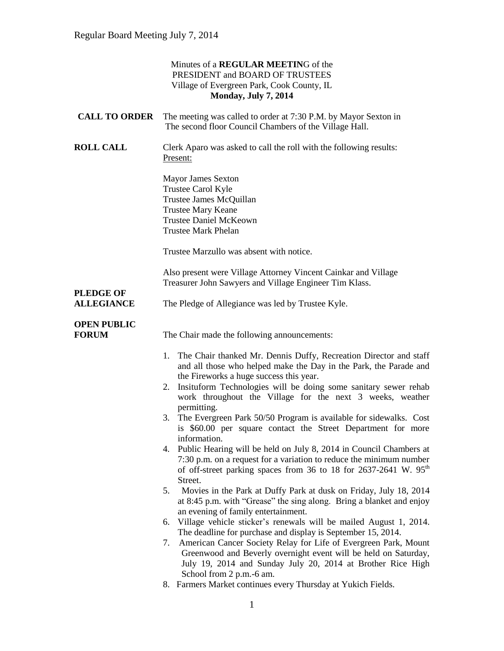|                                       | Minutes of a REGULAR MEETING of the<br>PRESIDENT and BOARD OF TRUSTEES<br>Village of Evergreen Park, Cook County, IL<br><b>Monday, July 7, 2014</b>                                                                                                                                                                                                                                                                                                                                                                                                                                                                                                                                                                                                                                                                                                                                                                                                                                                                                                                                                                                                                                                                                                                                                                                                                                         |
|---------------------------------------|---------------------------------------------------------------------------------------------------------------------------------------------------------------------------------------------------------------------------------------------------------------------------------------------------------------------------------------------------------------------------------------------------------------------------------------------------------------------------------------------------------------------------------------------------------------------------------------------------------------------------------------------------------------------------------------------------------------------------------------------------------------------------------------------------------------------------------------------------------------------------------------------------------------------------------------------------------------------------------------------------------------------------------------------------------------------------------------------------------------------------------------------------------------------------------------------------------------------------------------------------------------------------------------------------------------------------------------------------------------------------------------------|
| <b>CALL TO ORDER</b>                  | The meeting was called to order at 7:30 P.M. by Mayor Sexton in<br>The second floor Council Chambers of the Village Hall.                                                                                                                                                                                                                                                                                                                                                                                                                                                                                                                                                                                                                                                                                                                                                                                                                                                                                                                                                                                                                                                                                                                                                                                                                                                                   |
| <b>ROLL CALL</b>                      | Clerk Aparo was asked to call the roll with the following results:<br>Present:                                                                                                                                                                                                                                                                                                                                                                                                                                                                                                                                                                                                                                                                                                                                                                                                                                                                                                                                                                                                                                                                                                                                                                                                                                                                                                              |
|                                       | <b>Mayor James Sexton</b><br>Trustee Carol Kyle<br>Trustee James McQuillan<br><b>Trustee Mary Keane</b><br><b>Trustee Daniel McKeown</b><br><b>Trustee Mark Phelan</b>                                                                                                                                                                                                                                                                                                                                                                                                                                                                                                                                                                                                                                                                                                                                                                                                                                                                                                                                                                                                                                                                                                                                                                                                                      |
|                                       | Trustee Marzullo was absent with notice.                                                                                                                                                                                                                                                                                                                                                                                                                                                                                                                                                                                                                                                                                                                                                                                                                                                                                                                                                                                                                                                                                                                                                                                                                                                                                                                                                    |
|                                       | Also present were Village Attorney Vincent Cainkar and Village<br>Treasurer John Sawyers and Village Engineer Tim Klass.                                                                                                                                                                                                                                                                                                                                                                                                                                                                                                                                                                                                                                                                                                                                                                                                                                                                                                                                                                                                                                                                                                                                                                                                                                                                    |
| <b>PLEDGE OF</b><br><b>ALLEGIANCE</b> | The Pledge of Allegiance was led by Trustee Kyle.                                                                                                                                                                                                                                                                                                                                                                                                                                                                                                                                                                                                                                                                                                                                                                                                                                                                                                                                                                                                                                                                                                                                                                                                                                                                                                                                           |
| <b>OPEN PUBLIC</b><br><b>FORUM</b>    | The Chair made the following announcements:                                                                                                                                                                                                                                                                                                                                                                                                                                                                                                                                                                                                                                                                                                                                                                                                                                                                                                                                                                                                                                                                                                                                                                                                                                                                                                                                                 |
|                                       | The Chair thanked Mr. Dennis Duffy, Recreation Director and staff<br>1.<br>and all those who helped make the Day in the Park, the Parade and<br>the Fireworks a huge success this year.<br>Insituform Technologies will be doing some sanitary sewer rehab<br>2.<br>work throughout the Village for the next 3 weeks, weather<br>permitting.<br>3. The Evergreen Park 50/50 Program is available for sidewalks. Cost<br>is \$60.00 per square contact the Street Department for more<br>information.<br>4. Public Hearing will be held on July 8, 2014 in Council Chambers at<br>7:30 p.m. on a request for a variation to reduce the minimum number<br>of off-street parking spaces from 36 to 18 for 2637-2641 W. 95 <sup>th</sup><br>Street.<br>Movies in the Park at Duffy Park at dusk on Friday, July 18, 2014<br>5.<br>at 8:45 p.m. with "Grease" the sing along. Bring a blanket and enjoy<br>an evening of family entertainment.<br>Village vehicle sticker's renewals will be mailed August 1, 2014.<br>6.<br>The deadline for purchase and display is September 15, 2014.<br>American Cancer Society Relay for Life of Evergreen Park, Mount<br>7.<br>Greenwood and Beverly overnight event will be held on Saturday,<br>July 19, 2014 and Sunday July 20, 2014 at Brother Rice High<br>School from 2 p.m.-6 am.<br>8. Farmers Market continues every Thursday at Yukich Fields. |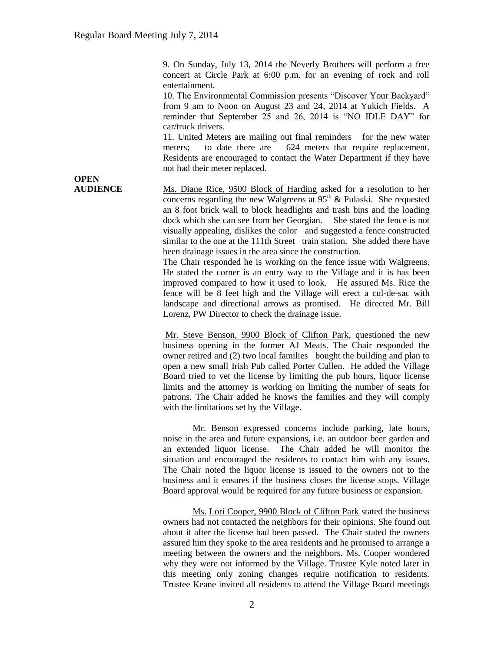9. On Sunday, July 13, 2014 the Neverly Brothers will perform a free concert at Circle Park at 6:00 p.m. for an evening of rock and roll entertainment.

10. The Environmental Commission presents "Discover Your Backyard" from 9 am to Noon on August 23 and 24, 2014 at Yukich Fields. A reminder that September 25 and 26, 2014 is "NO IDLE DAY" for car/truck drivers.

11. United Meters are mailing out final reminders for the new water meters; to date there are 624 meters that require replacement. Residents are encouraged to contact the Water Department if they have not had their meter replaced.

**OPEN** 

**AUDIENCE** Ms. Diane Rice, 9500 Block of Harding asked for a resolution to her concerns regarding the new Walgreens at  $95<sup>th</sup>$  & Pulaski. She requested an 8 foot brick wall to block headlights and trash bins and the loading dock which she can see from her Georgian. She stated the fence is not visually appealing, dislikes the color and suggested a fence constructed similar to the one at the 111th Street train station. She added there have been drainage issues in the area since the construction.

The Chair responded he is working on the fence issue with Walgreens. He stated the corner is an entry way to the Village and it is has been improved compared to how it used to look. He assured Ms. Rice the fence will be 8 feet high and the Village will erect a cul-de-sac with landscape and directional arrows as promised. He directed Mr. Bill Lorenz, PW Director to check the drainage issue.

Mr. Steve Benson, 9900 Block of Clifton Park, questioned the new business opening in the former AJ Meats. The Chair responded the owner retired and (2) two local families bought the building and plan to open a new small Irish Pub called Porter Cullen. He added the Village Board tried to vet the license by limiting the pub hours, liquor license limits and the attorney is working on limiting the number of seats for patrons. The Chair added he knows the families and they will comply with the limitations set by the Village.

Mr. Benson expressed concerns include parking, late hours, noise in the area and future expansions, i.e. an outdoor beer garden and an extended liquor license. The Chair added he will monitor the situation and encouraged the residents to contact him with any issues. The Chair noted the liquor license is issued to the owners not to the business and it ensures if the business closes the license stops. Village Board approval would be required for any future business or expansion.

Ms. Lori Cooper, 9900 Block of Clifton Park stated the business owners had not contacted the neighbors for their opinions. She found out about it after the license had been passed. The Chair stated the owners assured him they spoke to the area residents and he promised to arrange a meeting between the owners and the neighbors. Ms. Cooper wondered why they were not informed by the Village. Trustee Kyle noted later in this meeting only zoning changes require notification to residents. Trustee Keane invited all residents to attend the Village Board meetings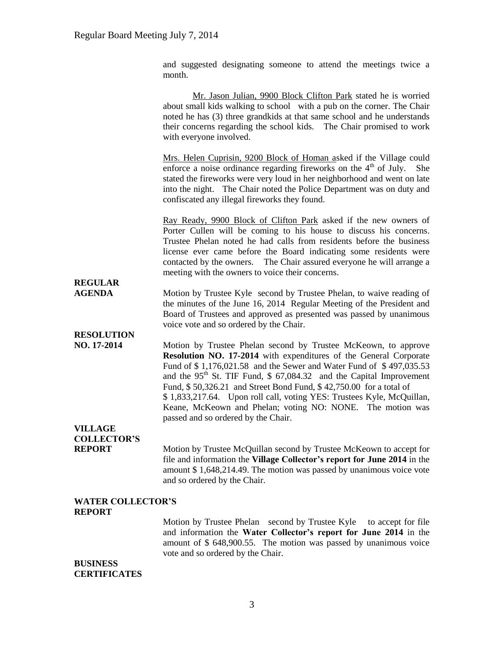and suggested designating someone to attend the meetings twice a month.

|                                  | Mr. Jason Julian, 9900 Block Clifton Park stated he is worried<br>about small kids walking to school with a pub on the corner. The Chair<br>noted he has (3) three grandkids at that same school and he understands<br>their concerns regarding the school kids. The Chair promised to work<br>with everyone involved.                                                                                                                                                                                                                            |
|----------------------------------|---------------------------------------------------------------------------------------------------------------------------------------------------------------------------------------------------------------------------------------------------------------------------------------------------------------------------------------------------------------------------------------------------------------------------------------------------------------------------------------------------------------------------------------------------|
|                                  | Mrs. Helen Cuprisin, 9200 Block of Homan asked if the Village could<br>enforce a noise ordinance regarding fireworks on the $4th$ of July.<br>She<br>stated the fireworks were very loud in her neighborhood and went on late<br>into the night. The Chair noted the Police Department was on duty and<br>confiscated any illegal fireworks they found.                                                                                                                                                                                           |
|                                  | Ray Ready, 9900 Block of Clifton Park asked if the new owners of<br>Porter Cullen will be coming to his house to discuss his concerns.<br>Trustee Phelan noted he had calls from residents before the business<br>license ever came before the Board indicating some residents were<br>contacted by the owners. The Chair assured everyone he will arrange a<br>meeting with the owners to voice their concerns.                                                                                                                                  |
| <b>REGULAR</b><br><b>AGENDA</b>  | Motion by Trustee Kyle second by Trustee Phelan, to waive reading of<br>the minutes of the June 16, 2014 Regular Meeting of the President and<br>Board of Trustees and approved as presented was passed by unanimous<br>voice vote and so ordered by the Chair.                                                                                                                                                                                                                                                                                   |
| <b>RESOLUTION</b><br>NO. 17-2014 | Motion by Trustee Phelan second by Trustee McKeown, to approve<br>Resolution NO. 17-2014 with expenditures of the General Corporate<br>Fund of \$1,176,021.58 and the Sewer and Water Fund of \$497,035.53<br>and the 95 <sup>th</sup> St. TIF Fund, \$ 67,084.32 and the Capital Improvement<br>Fund, \$50,326.21 and Street Bond Fund, \$42,750.00 for a total of<br>\$1,833,217.64. Upon roll call, voting YES: Trustees Kyle, McQuillan,<br>Keane, McKeown and Phelan; voting NO: NONE. The motion was<br>passed and so ordered by the Chair. |
| <b>VILLAGE</b>                   |                                                                                                                                                                                                                                                                                                                                                                                                                                                                                                                                                   |
| <b>COLLECTOR'S</b>               |                                                                                                                                                                                                                                                                                                                                                                                                                                                                                                                                                   |
| <b>REPORT</b>                    | Motion by Trustee McQuillan second by Trustee McKeown to accept for<br>file and information the Village Collector's report for June 2014 in the<br>amount \$1,648,214.49. The motion was passed by unanimous voice vote<br>and so ordered by the Chair.                                                                                                                                                                                                                                                                                           |
| <b>WATER COLLECTOR'S</b>         |                                                                                                                                                                                                                                                                                                                                                                                                                                                                                                                                                   |
| <b>REPORT</b>                    | Motion by Trustee Phelan second by Trustee Kyle to accept for file<br>$\mathbf{H}_{\text{eq}}$ Watch $\mathbf{C}_{\text{eq}}\mathbf{H}_{\text{eq}}$                                                                                                                                                                                                                                                                                                                                                                                               |

and information the **Water Collector's report for June 2014** in the amount of \$ 648,900.55. The motion was passed by unanimous voice vote and so ordered by the Chair.

### **BUSINESS CERTIFICATES**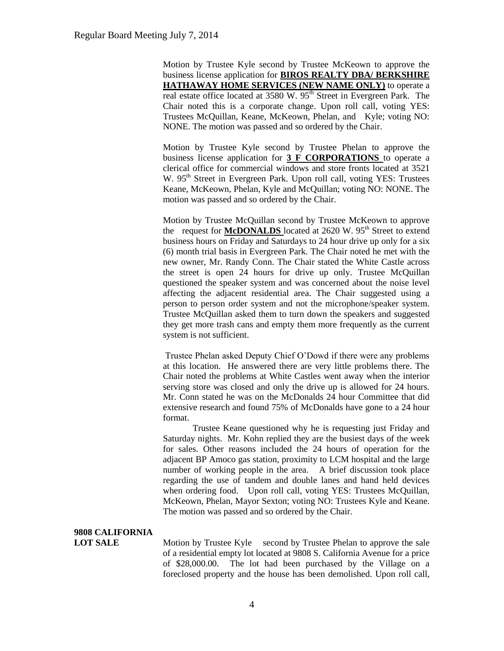Motion by Trustee Kyle second by Trustee McKeown to approve the business license application for **BIROS REALTY DBA/ BERKSHIRE HATHAWAY HOME SERVICES (NEW NAME ONLY)** to operate a real estate office located at 3580 W. 95<sup>th</sup> Street in Evergreen Park. The Chair noted this is a corporate change. Upon roll call, voting YES: Trustees McQuillan, Keane, McKeown, Phelan, and Kyle; voting NO: NONE. The motion was passed and so ordered by the Chair.

Motion by Trustee Kyle second by Trustee Phelan to approve the business license application for **3 F CORPORATIONS** to operate a clerical office for commercial windows and store fronts located at 3521 W. 95<sup>th</sup> Street in Evergreen Park. Upon roll call, voting YES: Trustees Keane, McKeown, Phelan, Kyle and McQuillan; voting NO: NONE. The motion was passed and so ordered by the Chair.

Motion by Trustee McQuillan second by Trustee McKeown to approve the request for **McDONALDS** located at 2620 W. 95<sup>th</sup> Street to extend business hours on Friday and Saturdays to 24 hour drive up only for a six (6) month trial basis in Evergreen Park. The Chair noted he met with the new owner, Mr. Randy Conn. The Chair stated the White Castle across the street is open 24 hours for drive up only. Trustee McQuillan questioned the speaker system and was concerned about the noise level affecting the adjacent residential area. The Chair suggested using a person to person order system and not the microphone/speaker system. Trustee McQuillan asked them to turn down the speakers and suggested they get more trash cans and empty them more frequently as the current system is not sufficient.

Trustee Phelan asked Deputy Chief O'Dowd if there were any problems at this location. He answered there are very little problems there. The Chair noted the problems at White Castles went away when the interior serving store was closed and only the drive up is allowed for 24 hours. Mr. Conn stated he was on the McDonalds 24 hour Committee that did extensive research and found 75% of McDonalds have gone to a 24 hour format.

Trustee Keane questioned why he is requesting just Friday and Saturday nights. Mr. Kohn replied they are the busiest days of the week for sales. Other reasons included the 24 hours of operation for the adjacent BP Amoco gas station, proximity to LCM hospital and the large number of working people in the area. A brief discussion took place regarding the use of tandem and double lanes and hand held devices when ordering food. Upon roll call, voting YES: Trustees McQuillan, McKeown, Phelan, Mayor Sexton; voting NO: Trustees Kyle and Keane. The motion was passed and so ordered by the Chair.

# **9808 CALIFORNIA**

**LOT SALE** Motion by Trustee Kyle second by Trustee Phelan to approve the sale of a residential empty lot located at 9808 S. California Avenue for a price of \$28,000.00. The lot had been purchased by the Village on a foreclosed property and the house has been demolished. Upon roll call,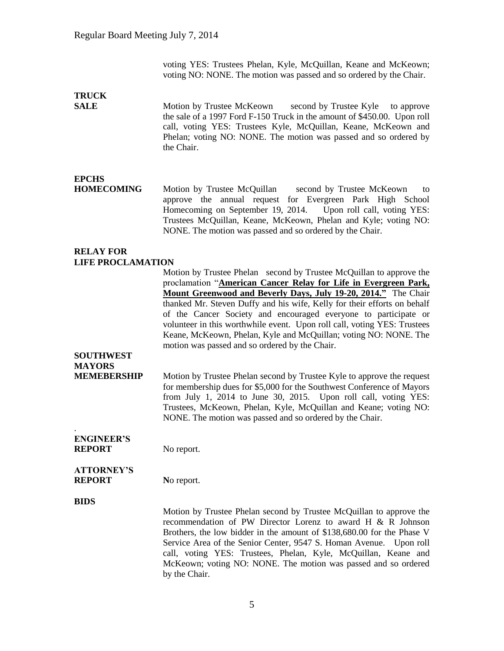voting YES: Trustees Phelan, Kyle, McQuillan, Keane and McKeown; voting NO: NONE. The motion was passed and so ordered by the Chair.

# **TRUCK**

**SALE** Motion by Trustee McKeown second by Trustee Kyle to approve the sale of a 1997 Ford F-150 Truck in the amount of \$450.00. Upon roll call, voting YES: Trustees Kyle, McQuillan, Keane, McKeown and Phelan; voting NO: NONE. The motion was passed and so ordered by the Chair.

## **EPCHS**

**HOMECOMING** Motion by Trustee McQuillan second by Trustee McKeown to approve the annual request for Evergreen Park High School Homecoming on September 19, 2014. Upon roll call, voting YES: Trustees McQuillan, Keane, McKeown, Phelan and Kyle; voting NO: NONE. The motion was passed and so ordered by the Chair.

### **RELAY FOR LIFE PROCLAMATION**

Motion by Trustee Phelan second by Trustee McQuillan to approve the proclamation "**American Cancer Relay for Life in Evergreen Park, Mount Greenwood and Beverly Days, July 19-20, 2014."** The Chair thanked Mr. Steven Duffy and his wife, Kelly for their efforts on behalf of the Cancer Society and encouraged everyone to participate or volunteer in this worthwhile event. Upon roll call, voting YES: Trustees Keane, McKeown, Phelan, Kyle and McQuillan; voting NO: NONE. The motion was passed and so ordered by the Chair.

# **SOUTHWEST MAYORS**

**MEMEBERSHIP** Motion by Trustee Phelan second by Trustee Kyle to approve the request for membership dues for \$5,000 for the Southwest Conference of Mayors from July 1, 2014 to June 30, 2015. Upon roll call, voting YES: Trustees, McKeown, Phelan, Kyle, McQuillan and Keane; voting NO: NONE. The motion was passed and so ordered by the Chair.

### **ENGINEER'S REPORT** No report.

### **ATTORNEY'S REPORT** No report.

### **BIDS**

.

Motion by Trustee Phelan second by Trustee McQuillan to approve the recommendation of PW Director Lorenz to award H & R Johnson Brothers, the low bidder in the amount of \$138,680.00 for the Phase V Service Area of the Senior Center, 9547 S. Homan Avenue. Upon roll call, voting YES: Trustees, Phelan, Kyle, McQuillan, Keane and McKeown; voting NO: NONE. The motion was passed and so ordered by the Chair.